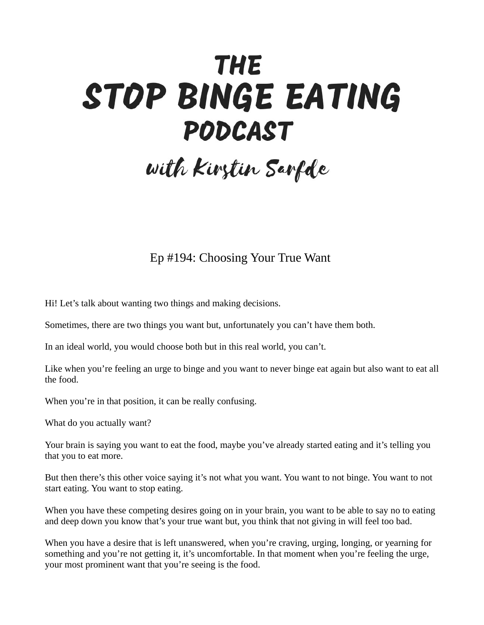## **THE** STOP BINGE EATING PODCAST

## with Kirstin Sarfde

## Ep #194: Choosing Your True Want

Hi! Let's talk about wanting two things and making decisions.

Sometimes, there are two things you want but, unfortunately you can't have them both.

In an ideal world, you would choose both but in this real world, you can't.

Like when you're feeling an urge to binge and you want to never binge eat again but also want to eat all the food.

When you're in that position, it can be really confusing.

What do you actually want?

Your brain is saying you want to eat the food, maybe you've already started eating and it's telling you that you to eat more.

But then there's this other voice saying it's not what you want. You want to not binge. You want to not start eating. You want to stop eating.

When you have these competing desires going on in your brain, you want to be able to say no to eating and deep down you know that's your true want but, you think that not giving in will feel too bad.

When you have a desire that is left unanswered, when you're craving, urging, longing, or yearning for something and you're not getting it, it's uncomfortable. In that moment when you're feeling the urge, your most prominent want that you're seeing is the food.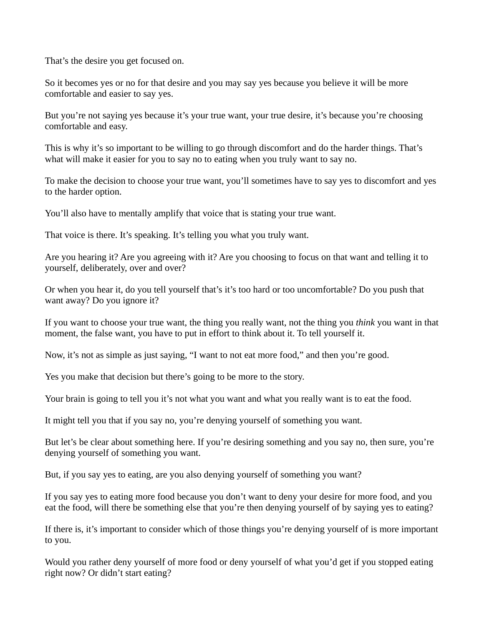That's the desire you get focused on.

So it becomes yes or no for that desire and you may say yes because you believe it will be more comfortable and easier to say yes.

But you're not saying yes because it's your true want, your true desire, it's because you're choosing comfortable and easy.

This is why it's so important to be willing to go through discomfort and do the harder things. That's what will make it easier for you to say no to eating when you truly want to say no.

To make the decision to choose your true want, you'll sometimes have to say yes to discomfort and yes to the harder option.

You'll also have to mentally amplify that voice that is stating your true want.

That voice is there. It's speaking. It's telling you what you truly want.

Are you hearing it? Are you agreeing with it? Are you choosing to focus on that want and telling it to yourself, deliberately, over and over?

Or when you hear it, do you tell yourself that's it's too hard or too uncomfortable? Do you push that want away? Do you ignore it?

If you want to choose your true want, the thing you really want, not the thing you *think* you want in that moment, the false want, you have to put in effort to think about it. To tell yourself it.

Now, it's not as simple as just saying, "I want to not eat more food," and then you're good.

Yes you make that decision but there's going to be more to the story.

Your brain is going to tell you it's not what you want and what you really want is to eat the food.

It might tell you that if you say no, you're denying yourself of something you want.

But let's be clear about something here. If you're desiring something and you say no, then sure, you're denying yourself of something you want.

But, if you say yes to eating, are you also denying yourself of something you want?

If you say yes to eating more food because you don't want to deny your desire for more food, and you eat the food, will there be something else that you're then denying yourself of by saying yes to eating?

If there is, it's important to consider which of those things you're denying yourself of is more important to you.

Would you rather deny yourself of more food or deny yourself of what you'd get if you stopped eating right now? Or didn't start eating?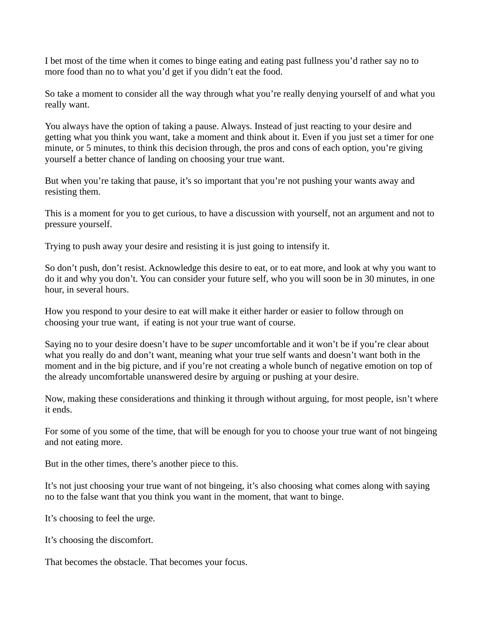I bet most of the time when it comes to binge eating and eating past fullness you'd rather say no to more food than no to what you'd get if you didn't eat the food.

So take a moment to consider all the way through what you're really denying yourself of and what you really want.

You always have the option of taking a pause. Always. Instead of just reacting to your desire and getting what you think you want, take a moment and think about it. Even if you just set a timer for one minute, or 5 minutes, to think this decision through, the pros and cons of each option, you're giving yourself a better chance of landing on choosing your true want.

But when you're taking that pause, it's so important that you're not pushing your wants away and resisting them.

This is a moment for you to get curious, to have a discussion with yourself, not an argument and not to pressure yourself.

Trying to push away your desire and resisting it is just going to intensify it.

So don't push, don't resist. Acknowledge this desire to eat, or to eat more, and look at why you want to do it and why you don't. You can consider your future self, who you will soon be in 30 minutes, in one hour, in several hours.

How you respond to your desire to eat will make it either harder or easier to follow through on choosing your true want, if eating is not your true want of course.

Saying no to your desire doesn't have to be *super* uncomfortable and it won't be if you're clear about what you really do and don't want, meaning what your true self wants and doesn't want both in the moment and in the big picture, and if you're not creating a whole bunch of negative emotion on top of the already uncomfortable unanswered desire by arguing or pushing at your desire.

Now, making these considerations and thinking it through without arguing, for most people, isn't where it ends.

For some of you some of the time, that will be enough for you to choose your true want of not bingeing and not eating more.

But in the other times, there's another piece to this.

It's not just choosing your true want of not bingeing, it's also choosing what comes along with saying no to the false want that you think you want in the moment, that want to binge.

It's choosing to feel the urge.

It's choosing the discomfort.

That becomes the obstacle. That becomes your focus.